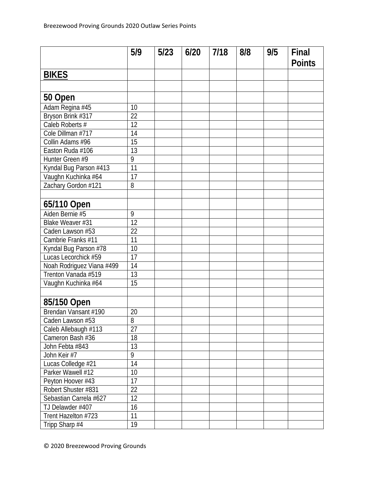|                           | 5/9             | $5/23$ | 6/20 | 7/18 | 8/8 | 9/5 | Final         |
|---------------------------|-----------------|--------|------|------|-----|-----|---------------|
|                           |                 |        |      |      |     |     | <b>Points</b> |
| <b>BIKES</b>              |                 |        |      |      |     |     |               |
|                           |                 |        |      |      |     |     |               |
| 50 Open                   |                 |        |      |      |     |     |               |
| Adam Regina #45           | 10              |        |      |      |     |     |               |
| Bryson Brink #317         | 22              |        |      |      |     |     |               |
| Caleb Roberts #           | 12              |        |      |      |     |     |               |
| Cole Dillman #717         | 14              |        |      |      |     |     |               |
| Collin Adams #96          | 15              |        |      |      |     |     |               |
| Easton Ruda #106          | 13              |        |      |      |     |     |               |
| Hunter Green #9           | 9               |        |      |      |     |     |               |
| Kyndal Bug Parson #413    | $\overline{11}$ |        |      |      |     |     |               |
| Vaughn Kuchinka #64       | 17              |        |      |      |     |     |               |
| Zachary Gordon #121       | 8               |        |      |      |     |     |               |
|                           |                 |        |      |      |     |     |               |
| 65/110 Open               |                 |        |      |      |     |     |               |
| Aiden Bernie #5           | 9               |        |      |      |     |     |               |
| Blake Weaver #31          | 12              |        |      |      |     |     |               |
| Caden Lawson #53          | 22              |        |      |      |     |     |               |
| Cambrie Franks #11        | 11              |        |      |      |     |     |               |
| Kyndal Bug Parson #78     | 10              |        |      |      |     |     |               |
| Lucas Lecorchick #59      | 17              |        |      |      |     |     |               |
| Noah Rodriguez Viana #499 | 14              |        |      |      |     |     |               |
| Trenton Vanada #519       | 13              |        |      |      |     |     |               |
| Vaughn Kuchinka #64       | $\overline{15}$ |        |      |      |     |     |               |
|                           |                 |        |      |      |     |     |               |
| 85/150 Open               |                 |        |      |      |     |     |               |
| Brendan Vansant #190      | 20              |        |      |      |     |     |               |
| Caden Lawson #53          | 8               |        |      |      |     |     |               |
| Caleb Allebaugh #113      | 27              |        |      |      |     |     |               |
| Cameron Bash #36          | 18              |        |      |      |     |     |               |
| John Febta #843           | 13              |        |      |      |     |     |               |
| John Keir #7              | 9               |        |      |      |     |     |               |
| Lucas Colledge #21        | 14              |        |      |      |     |     |               |
| Parker Wawell #12         | 10              |        |      |      |     |     |               |
| Peyton Hoover #43         | 17              |        |      |      |     |     |               |
| Robert Shuster #831       | 22              |        |      |      |     |     |               |
| Sebastian Carrela #627    | 12              |        |      |      |     |     |               |
| TJ Delawder #407          | 16              |        |      |      |     |     |               |
| Trent Hazelton #723       | 11              |        |      |      |     |     |               |
| Tripp Sharp #4            | 19              |        |      |      |     |     |               |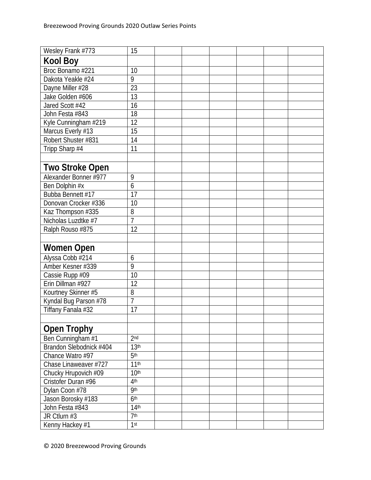| Wesley Frank #773       | 15               |  |  |  |
|-------------------------|------------------|--|--|--|
| <b>Kool Boy</b>         |                  |  |  |  |
| Broc Bonamo #221        | 10               |  |  |  |
| Dakota Yeakle #24       | $\overline{9}$   |  |  |  |
| Dayne Miller #28        | 23               |  |  |  |
| Jake Golden #606        | 13               |  |  |  |
| Jared Scott #42         | 16               |  |  |  |
| John Festa #843         | 18               |  |  |  |
| Kyle Cunningham #219    | 12               |  |  |  |
| Marcus Everly #13       | 15               |  |  |  |
| Robert Shuster #831     | 14               |  |  |  |
| Tripp Sharp #4          | 11               |  |  |  |
|                         |                  |  |  |  |
| <b>Two Stroke Open</b>  |                  |  |  |  |
| Alexander Bonner #977   | 9                |  |  |  |
| Ben Dolphin #x          | 6                |  |  |  |
| Bubba Bennett #17       | 17               |  |  |  |
| Donovan Crocker #336    | 10               |  |  |  |
| Kaz Thompson #335       | 8                |  |  |  |
| Nicholas Luzdtke #7     | $\overline{7}$   |  |  |  |
| Ralph Rouso #875        | 12               |  |  |  |
|                         |                  |  |  |  |
| <b>Women Open</b>       |                  |  |  |  |
| Alyssa Cobb #214        | 6                |  |  |  |
| Amber Kesner #339       | 9                |  |  |  |
| Cassie Rupp #09         | 10               |  |  |  |
| Erin Dillman #927       | 12               |  |  |  |
| Kourtney Skinner #5     | 8                |  |  |  |
| Kyndal Bug Parson #78   | $\overline{7}$   |  |  |  |
| Tiffany Fanala #32      | 17               |  |  |  |
|                         |                  |  |  |  |
| <b>Open Trophy</b>      |                  |  |  |  |
| Ben Cunningham #1       | 2 <sub>nd</sub>  |  |  |  |
| Brandon Slebodnick #404 | 13 <sup>th</sup> |  |  |  |
| Chance Watro #97        | 5 <sup>th</sup>  |  |  |  |
| Chase Linaweaver #727   | 11 <sup>th</sup> |  |  |  |
| Chucky Hrupovich #09    | 10 <sup>th</sup> |  |  |  |
| Cristofer Duran #96     | 4 <sup>th</sup>  |  |  |  |
| Dylan Coon #78          | qth              |  |  |  |
| Jason Borosky #183      | 6 <sup>th</sup>  |  |  |  |
| John Festa #843         | 14 <sup>th</sup> |  |  |  |
| JR Ctlurn #3            | 7 <sup>th</sup>  |  |  |  |
| Kenny Hackey #1         | 1st              |  |  |  |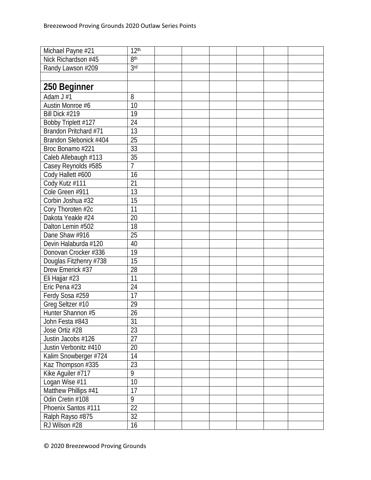| Michael Payne #21      | 12 <sup>th</sup> |  |  |  |
|------------------------|------------------|--|--|--|
| Nick Richardson #45    | 8 <sup>th</sup>  |  |  |  |
| Randy Lawson #209      | 3rd              |  |  |  |
|                        |                  |  |  |  |
| 250 Beginner           |                  |  |  |  |
| Adam $J \overline{11}$ | 8                |  |  |  |
| Austin Monroe #6       | 10               |  |  |  |
| Bill Dick #219         | 19               |  |  |  |
| Bobby Triplett #127    | 24               |  |  |  |
| Brandon Pritchard #71  | 13               |  |  |  |
| Brandon Slebonick #404 | 25               |  |  |  |
| Broc Bonamo #221       | 33               |  |  |  |
| Caleb Allebaugh #113   | 35               |  |  |  |
| Casey Reynolds #585    | $\overline{7}$   |  |  |  |
| Cody Hallett #600      | 16               |  |  |  |
| Cody Kutz #111         | 21               |  |  |  |
| Cole Green #911        | 13               |  |  |  |
| Corbin Joshua #32      | 15               |  |  |  |
| Cory Thoroten #2c      | 11               |  |  |  |
| Dakota Yeakle #24      | 20               |  |  |  |
| Dalton Lemin #502      | 18               |  |  |  |
| Dane Shaw #916         | 25               |  |  |  |
| Devin Halaburda #120   | 40               |  |  |  |
| Donovan Crocker #336   | 19               |  |  |  |
| Douglas Fitzhenry #738 | 15               |  |  |  |
| Drew Emerick #37       | 28               |  |  |  |
| Eli Hajjar #23         | 11               |  |  |  |
| Eric Pena #23          | 24               |  |  |  |
| Ferdy Sosa #259        | 17               |  |  |  |
| Greg Seltzer #10       | 29               |  |  |  |
| Hunter Shannon #5      | 26               |  |  |  |
| John Festa #843        | 31               |  |  |  |
| Jose Ortiz #28         | 23               |  |  |  |
| Justin Jacobs #126     | 27               |  |  |  |
| Justin Verbonitz #410  | 20               |  |  |  |
| Kalim Snowberger #724  | 14               |  |  |  |
| Kaz Thompson #335      | 23               |  |  |  |
| Kike Aguiler #717      | 9                |  |  |  |
| Logan Wise #11         | 10               |  |  |  |
| Matthew Phillips #41   | 17               |  |  |  |
| Odin Cretin #108       | 9                |  |  |  |
| Phoenix Santos #111    | 22               |  |  |  |
| Ralph Rayso #875       | 32               |  |  |  |
| RJ Wilson #28          | 16               |  |  |  |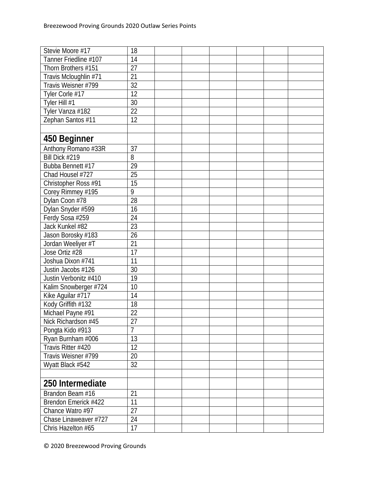| Stevie Moore #17      | 18              |  |  |  |
|-----------------------|-----------------|--|--|--|
| Tanner Friedline #107 | 14              |  |  |  |
| Thorn Brothers #151   | 27              |  |  |  |
| Travis Mcloughlin #71 | 21              |  |  |  |
| Travis Weisner #799   | 32              |  |  |  |
| Tyler Corle #17       | 12              |  |  |  |
| Tyler Hill #1         | 30              |  |  |  |
| Tyler Vanza #182      | 22              |  |  |  |
| Zephan Santos #11     | 12              |  |  |  |
|                       |                 |  |  |  |
| 450 Beginner          |                 |  |  |  |
| Anthony Romano #33R   | 37              |  |  |  |
| Bill Dick #219        | 8               |  |  |  |
| Bubba Bennett #17     | 29              |  |  |  |
| Chad Housel #727      | 25              |  |  |  |
| Christopher Ross #91  | $\overline{15}$ |  |  |  |
| Corey Rimmey #195     | 9               |  |  |  |
| Dylan Coon #78        | 28              |  |  |  |
| Dylan Snyder #599     | 16              |  |  |  |
| Ferdy Sosa #259       | 24              |  |  |  |
| Jack Kunkel #82       | 23              |  |  |  |
| Jason Borosky #183    | 26              |  |  |  |
| Jordan Weeliyer #T    | 21              |  |  |  |
| Jose Ortiz #28        | 17              |  |  |  |
| Joshua Dixon #741     | 11              |  |  |  |
| Justin Jacobs #126    | 30              |  |  |  |
| Justin Verbonitz #410 | 19              |  |  |  |
| Kalim Snowberger #724 | 10              |  |  |  |
| Kike Aguilar #717     | 14              |  |  |  |
| Kody Griffith #132    | 18              |  |  |  |
| Michael Payne #91     | 22              |  |  |  |
| Nick Richardson #45   | 27              |  |  |  |
| Pongta Kido #913      | $\overline{7}$  |  |  |  |
| Ryan Burnham #006     | 13              |  |  |  |
| Travis Ritter #420    | 12              |  |  |  |
| Travis Weisner #799   | 20              |  |  |  |
| Wyatt Black #542      | 32              |  |  |  |
|                       |                 |  |  |  |
| 250 Intermediate      |                 |  |  |  |
| Brandon Beam #16      | 21              |  |  |  |
| Brendon Emerick #422  | 11              |  |  |  |
| Chance Watro #97      | 27              |  |  |  |
| Chase Linaweaver #727 | 24              |  |  |  |
| Chris Hazelton #65    | 17              |  |  |  |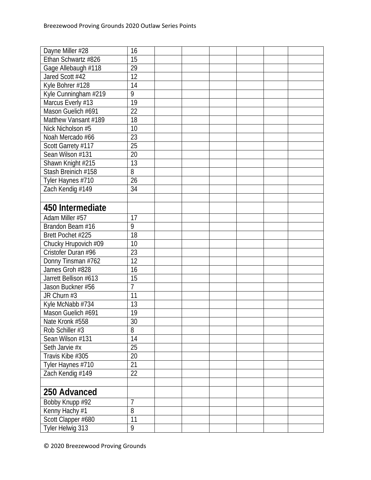| Dayne Miller #28      | 16             |  |  |  |
|-----------------------|----------------|--|--|--|
| Ethan Schwartz #826   | 15             |  |  |  |
| Gage Allebaugh #118   | 29             |  |  |  |
| Jared Scott #42       | 12             |  |  |  |
| Kyle Bohrer #128      | 14             |  |  |  |
| Kyle Cunningham #219  | 9              |  |  |  |
| Marcus Everly #13     | 19             |  |  |  |
| Mason Guelich #691    | 22             |  |  |  |
| Matthew Vansant #189  | 18             |  |  |  |
| Nick Nicholson #5     | 10             |  |  |  |
| Noah Mercado #66      | 23             |  |  |  |
| Scott Garrety #117    | 25             |  |  |  |
| Sean Wilson #131      | 20             |  |  |  |
| Shawn Knight #215     | 13             |  |  |  |
| Stash Breinich #158   | 8              |  |  |  |
| Tyler Haynes #710     | 26             |  |  |  |
| Zach Kendig #149      | 34             |  |  |  |
|                       |                |  |  |  |
| 450 Intermediate      |                |  |  |  |
| Adam Miller #57       | 17             |  |  |  |
| Brandon Beam #16      | 9              |  |  |  |
| Brett Pochet #225     | 18             |  |  |  |
| Chucky Hrupovich #09  | 10             |  |  |  |
| Cristofer Duran #96   | 23             |  |  |  |
| Donny Tinsman #762    | 12             |  |  |  |
| James Groh #828       | 16             |  |  |  |
| Jarrett Bellison #613 | 15             |  |  |  |
| Jason Buckner #56     | $\overline{7}$ |  |  |  |
| JR Churn #3           | 11             |  |  |  |
| Kyle McNabb #734      | 13             |  |  |  |
| Mason Guelich #691    | 19             |  |  |  |
| Nate Kronk #558       | 30             |  |  |  |
| Rob Schiller #3       | 8              |  |  |  |
| Sean Wilson #131      | 14             |  |  |  |
| Seth Jarvie #x        | 25             |  |  |  |
| Travis Kibe #305      | 20             |  |  |  |
| Tyler Haynes #710     | 21             |  |  |  |
| Zach Kendig #149      | 22             |  |  |  |
|                       |                |  |  |  |
| 250 Advanced          |                |  |  |  |
| Bobby Knupp #92       | $\overline{7}$ |  |  |  |
| Kenny Hachy #1        | 8              |  |  |  |
| Scott Clapper #680    | 11             |  |  |  |
| Tyler Helwig 313      | 9              |  |  |  |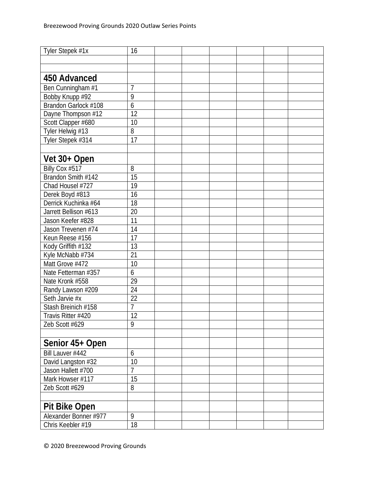| Tyler Stepek #1x      | 16             |  |  |  |
|-----------------------|----------------|--|--|--|
|                       |                |  |  |  |
|                       |                |  |  |  |
| 450 Advanced          |                |  |  |  |
| Ben Cunningham #1     | $\overline{7}$ |  |  |  |
| Bobby Knupp #92       | 9              |  |  |  |
| Brandon Garlock #108  | $\overline{6}$ |  |  |  |
| Dayne Thompson #12    | 12             |  |  |  |
| Scott Clapper #680    | 10             |  |  |  |
| Tyler Helwig #13      | 8              |  |  |  |
| Tyler Stepek #314     | 17             |  |  |  |
|                       |                |  |  |  |
| Vet 30+ Open          |                |  |  |  |
| Billy Cox #517        | 8              |  |  |  |
| Brandon Smith #142    | 15             |  |  |  |
| Chad Housel #727      | 19             |  |  |  |
| Derek Boyd #813       | 16             |  |  |  |
| Derrick Kuchinka #64  | 18             |  |  |  |
| Jarrett Bellison #613 | 20             |  |  |  |
| Jason Keefer #828     | 11             |  |  |  |
| Jason Trevenen #74    | 14             |  |  |  |
| Keun Reese #156       | 17             |  |  |  |
| Kody Griffith #132    | 13             |  |  |  |
| Kyle McNabb #734      | 21             |  |  |  |
| Matt Grove #472       | 10             |  |  |  |
| Nate Fetterman #357   | 6              |  |  |  |
| Nate Kronk #558       | 29             |  |  |  |
| Randy Lawson #209     | 24             |  |  |  |
| Seth Jarvie #x        | 22             |  |  |  |
| Stash Breinich #158   | $\overline{7}$ |  |  |  |
| Travis Ritter #420    | 12             |  |  |  |
| Zeb Scott #629        | 9              |  |  |  |
|                       |                |  |  |  |
| Senior 45+ Open       |                |  |  |  |
| Bill Lauver #442      | 6              |  |  |  |
| David Langston #32    | 10             |  |  |  |
| Jason Hallett #700    | $\overline{7}$ |  |  |  |
| Mark Howser #117      | 15             |  |  |  |
| Zeb Scott #629        | 8              |  |  |  |
|                       |                |  |  |  |
| <b>Pit Bike Open</b>  |                |  |  |  |
| Alexander Bonner #977 | 9              |  |  |  |
| Chris Keebler #19     | 18             |  |  |  |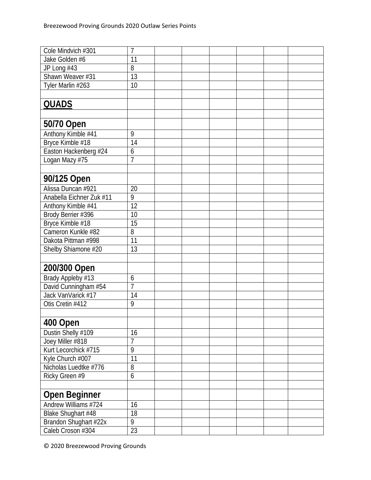| Cole Mindvich #301                     | 7              |  |  |  |
|----------------------------------------|----------------|--|--|--|
| Jake Golden #6                         | 11             |  |  |  |
| JP Long #43                            | 8              |  |  |  |
| Shawn Weaver #31                       | 13             |  |  |  |
| Tyler Marlin #263                      | 10             |  |  |  |
|                                        |                |  |  |  |
| <b>QUADS</b>                           |                |  |  |  |
|                                        |                |  |  |  |
| 50/70 Open                             |                |  |  |  |
| Anthony Kimble #41                     | 9              |  |  |  |
| Bryce Kimble #18                       | 14             |  |  |  |
| Easton Hackenberg #24                  | 6              |  |  |  |
| Logan Mazy #75                         | 7              |  |  |  |
|                                        |                |  |  |  |
| 90/125 Open                            |                |  |  |  |
| Alissa Duncan #921                     | 20             |  |  |  |
| Anabella Eichner Zuk #11               | 9              |  |  |  |
|                                        | 12             |  |  |  |
| Anthony Kimble #41                     | 10             |  |  |  |
| Brody Berrier #396<br>Bryce Kimble #18 | 15             |  |  |  |
| Cameron Kunkle #82                     | 8              |  |  |  |
| Dakota Pittman #998                    | 11             |  |  |  |
|                                        | 13             |  |  |  |
| Shelby Shiamone #20                    |                |  |  |  |
| 200/300 Open                           |                |  |  |  |
| Brady Appleby #13                      | 6              |  |  |  |
| David Cunningham #54                   | 7              |  |  |  |
| Jack VanVarick #17                     | 14             |  |  |  |
| Otis Cretin #412                       | 9              |  |  |  |
|                                        |                |  |  |  |
|                                        |                |  |  |  |
| 400 Open                               |                |  |  |  |
| Dustin Shelly #109                     | 16             |  |  |  |
| Joey Miller #818                       | $\overline{7}$ |  |  |  |
| Kurt Lecorchick #715                   | 9              |  |  |  |
| Kyle Church #007                       | 11             |  |  |  |
| Nicholas Luedtke #776                  | 8              |  |  |  |
| Ricky Green #9                         | 6              |  |  |  |
|                                        |                |  |  |  |
| <b>Open Beginner</b>                   |                |  |  |  |
| Andrew Williams #724                   | 16             |  |  |  |
| Blake Shughart #48                     | 18             |  |  |  |
| Brandon Shughart #22x                  | 9              |  |  |  |
| Caleb Croson #304                      | 23             |  |  |  |

© 2020 Breezewood Proving Grounds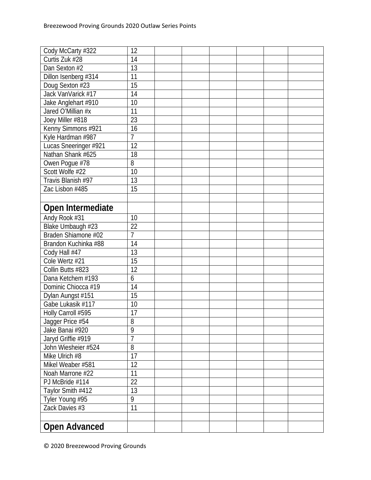| Cody McCarty #322     | 12              |  |  |  |
|-----------------------|-----------------|--|--|--|
| Curtis Zuk #28        | 14              |  |  |  |
| Dan Sexton #2         | 13              |  |  |  |
| Dillon Isenberg #314  | 11              |  |  |  |
| Doug Sexton #23       | $\overline{15}$ |  |  |  |
| Jack VanVarick #17    | 14              |  |  |  |
| Jake Anglehart #910   | 10              |  |  |  |
| Jared O'Millian #x    | 11              |  |  |  |
| Joey Miller #818      | 23              |  |  |  |
| Kenny Simmons #921    | 16              |  |  |  |
| Kyle Hardman #987     | $\overline{1}$  |  |  |  |
| Lucas Sneeringer #921 | 12              |  |  |  |
| Nathan Shank #625     | 18              |  |  |  |
| Owen Pogue #78        | 8               |  |  |  |
| Scott Wolfe #22       | 10              |  |  |  |
| Travis Blanish #97    | 13              |  |  |  |
| Zac Lisbon #485       | 15              |  |  |  |
|                       |                 |  |  |  |
| Open Intermediate     |                 |  |  |  |
| Andy Rook #31         | 10              |  |  |  |
| Blake Umbaugh #23     | 22              |  |  |  |
| Braden Shiamone #02   | $\overline{1}$  |  |  |  |
| Brandon Kuchinka #88  | 14              |  |  |  |
| Cody Hall #47         | 13              |  |  |  |
| Cole Wertz #21        | 15              |  |  |  |
| Collin Butts #823     | 12              |  |  |  |
| Dana Ketchem #193     | 6               |  |  |  |
| Dominic Chiocca #19   | 14              |  |  |  |
| Dylan Aungst #151     | 15              |  |  |  |
| Gabe Lukasik #117     | 10              |  |  |  |
| Holly Carroll #595    | 17              |  |  |  |
| Jagger Price #54      | 8               |  |  |  |
| Jake Banai #920       | 9               |  |  |  |
| Jaryd Griffie #919    | $\overline{1}$  |  |  |  |
| John Wiesheier #524   | 8               |  |  |  |
| Mike Ulrich #8        | 17              |  |  |  |
| Mikel Weaber #581     | 12              |  |  |  |
| Noah Marrone #22      | 11              |  |  |  |
| PJ McBride #114       | 22              |  |  |  |
| Taylor Smith #412     | 13              |  |  |  |
| Tyler Young #95       | 9               |  |  |  |
| Zack Davies #3        | 11              |  |  |  |
|                       |                 |  |  |  |
| <b>Open Advanced</b>  |                 |  |  |  |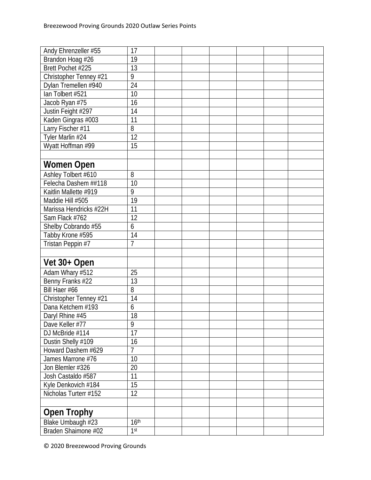| Andy Ehrenzeller #55   | 17               |  |  |  |
|------------------------|------------------|--|--|--|
| Brandon Hoag #26       | 19               |  |  |  |
| Brett Pochet #225      | 13               |  |  |  |
| Christopher Tenney #21 | 9                |  |  |  |
| Dylan Tremellen #940   | 24               |  |  |  |
| lan Tolbert #521       | 10               |  |  |  |
| Jacob Ryan #75         | 16               |  |  |  |
| Justin Feight #297     | 14               |  |  |  |
| Kaden Gingras #003     | 11               |  |  |  |
| Larry Fischer #11      | 8                |  |  |  |
| Tyler Marlin #24       | 12               |  |  |  |
| Wyatt Hoffman #99      | 15               |  |  |  |
|                        |                  |  |  |  |
| <b>Women Open</b>      |                  |  |  |  |
| Ashley Tolbert #610    | 8                |  |  |  |
| Felecha Dashem ##118   | 10               |  |  |  |
| Kaitlin Mallette #919  | 9                |  |  |  |
| Maddie Hill #505       | 19               |  |  |  |
| Marissa Hendricks #22H | 11               |  |  |  |
| Sam Flack #762         | 12               |  |  |  |
| Shelby Cobrando #55    | 6                |  |  |  |
| Tabby Krone #595       | 14               |  |  |  |
| Tristan Peppin #7      | $\overline{7}$   |  |  |  |
|                        |                  |  |  |  |
| Vet 30+ Open           |                  |  |  |  |
| Adam Whary #512        | 25               |  |  |  |
| Benny Franks #22       | 13               |  |  |  |
| Bill Haer #66          | 8                |  |  |  |
| Christopher Tenney #21 | 14               |  |  |  |
| Dana Ketchem #193      | 6                |  |  |  |
| Daryl Rhine #45        | 18               |  |  |  |
| Dave Keller #77        | 9                |  |  |  |
| DJ McBride #114        | 17               |  |  |  |
| Dustin Shelly #109     | 16               |  |  |  |
| Howard Dashem #629     | $\overline{7}$   |  |  |  |
| James Marrone #76      | 10               |  |  |  |
| Jon Blemler #326       | 20               |  |  |  |
| Josh Castaldo #587     | 11               |  |  |  |
| Kyle Denkovich #184    | 15               |  |  |  |
| Nicholas Turterr #152  | 12               |  |  |  |
|                        |                  |  |  |  |
| <b>Open Trophy</b>     |                  |  |  |  |
| Blake Umbaugh #23      | 16 <sup>th</sup> |  |  |  |
| Braden Shaimone #02    | 1 <sup>st</sup>  |  |  |  |
|                        |                  |  |  |  |

© 2020 Breezewood Proving Grounds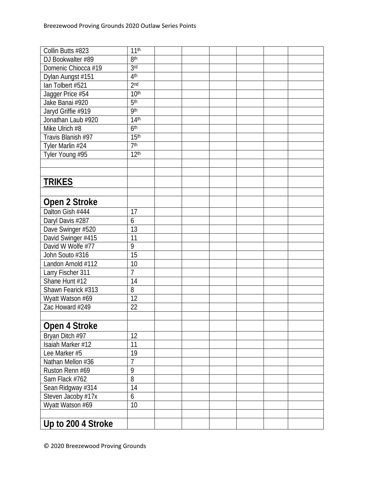| Collin Butts #823                       | 11 <sup>th</sup> |  |  |  |
|-----------------------------------------|------------------|--|--|--|
| DJ Bookwalter #89                       | 8 <sup>th</sup>  |  |  |  |
| Domenic Chiocca #19                     | 3 <sub>rd</sub>  |  |  |  |
| Dylan Aungst #151                       | 4 <sup>th</sup>  |  |  |  |
| lan Tolbert #521                        | 2 <sub>nd</sub>  |  |  |  |
| Jagger Price #54                        | 10 <sup>th</sup> |  |  |  |
| Jake Banai #920                         | 5 <sup>th</sup>  |  |  |  |
| Jaryd Griffie #919                      | qth              |  |  |  |
| Jonathan Laub #920                      | 14 <sup>th</sup> |  |  |  |
| Mike Ulrich #8                          | 6 <sup>th</sup>  |  |  |  |
| Travis Blanish #97                      | 15 <sup>th</sup> |  |  |  |
| Tyler Marlin #24                        | 7 <sup>th</sup>  |  |  |  |
| Tyler Young #95                         | 12 <sup>th</sup> |  |  |  |
|                                         |                  |  |  |  |
|                                         |                  |  |  |  |
| <b>TRIKES</b>                           |                  |  |  |  |
|                                         |                  |  |  |  |
| Open 2 Stroke                           |                  |  |  |  |
| Dalton Gish #444                        | 17               |  |  |  |
| Daryl Davis #287                        | $\boldsymbol{6}$ |  |  |  |
|                                         | 13               |  |  |  |
| Dave Swinger #520                       | 11               |  |  |  |
| David Swinger #415<br>David W Wolfe #77 | 9                |  |  |  |
| John Souto #316                         | 15               |  |  |  |
| Landon Arnold #112                      | 10               |  |  |  |
| Larry Fischer 311                       | $\overline{1}$   |  |  |  |
| Shane Hunt #12                          | 14               |  |  |  |
| Shawn Fearick #313                      | 8                |  |  |  |
| Wyatt Watson #69                        | 12               |  |  |  |
| Zac Howard #249                         | 22               |  |  |  |
|                                         |                  |  |  |  |
|                                         |                  |  |  |  |
| Open 4 Stroke                           |                  |  |  |  |
| Bryan Ditch #97                         | 12               |  |  |  |
| Isaiah Marker #12                       | 11               |  |  |  |
| Lee Marker #5                           | 19               |  |  |  |
| Nathan Mellon #36                       | $\overline{1}$   |  |  |  |
| Ruston Renn #69                         | $\overline{9}$   |  |  |  |
| Sam Flack #762                          | 8                |  |  |  |
| Sean Ridgway #314                       | 14               |  |  |  |
| Steven Jacoby #17x                      | 6                |  |  |  |
| Wyatt Watson #69                        | 10               |  |  |  |
|                                         |                  |  |  |  |
| Up to 200 4 Stroke                      |                  |  |  |  |